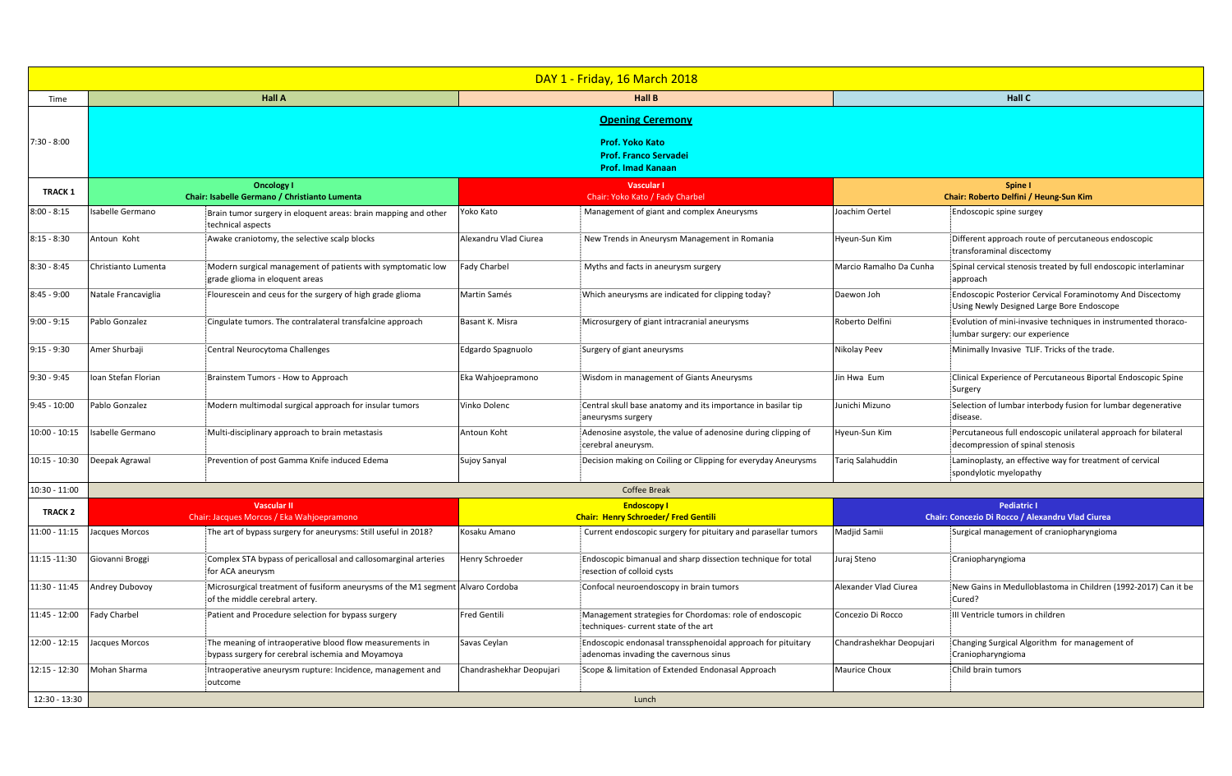|                 | <b>DAY 1 - Friday, 16 March 2018</b>                                               |                                                                                                                  |                                                                   |                                                                                                      |                                                                        |                                                                                                        |  |  |
|-----------------|------------------------------------------------------------------------------------|------------------------------------------------------------------------------------------------------------------|-------------------------------------------------------------------|------------------------------------------------------------------------------------------------------|------------------------------------------------------------------------|--------------------------------------------------------------------------------------------------------|--|--|
| Time            |                                                                                    | <b>Hall A</b>                                                                                                    | <b>Hall B</b>                                                     |                                                                                                      | <b>Hall C</b>                                                          |                                                                                                        |  |  |
|                 | <b>Opening Ceremony</b>                                                            |                                                                                                                  |                                                                   |                                                                                                      |                                                                        |                                                                                                        |  |  |
| $7:30 - 8:00$   | <b>Prof. Yoko Kato</b><br><b>Prof. Franco Servadei</b><br><b>Prof. Imad Kanaan</b> |                                                                                                                  |                                                                   |                                                                                                      |                                                                        |                                                                                                        |  |  |
| <b>TRACK 1</b>  | <b>Oncology I</b><br>Chair: Isabelle Germano / Christianto Lumenta                 |                                                                                                                  | <b>Vascular I</b><br>Chair: Yoko Kato / Fady Charbel              |                                                                                                      | <b>Spine I</b><br>Chair: Roberto Delfini / Heung-Sun Kim               |                                                                                                        |  |  |
| $8:00 - 8:15$   | Isabelle Germano                                                                   | Brain tumor surgery in eloquent areas: brain mapping and other<br>technical aspects                              | Yoko Kato                                                         | Management of giant and complex Aneurysms                                                            | Joachim Oertel                                                         | Endoscopic spine surgey                                                                                |  |  |
| $8:15 - 8:30$   | Antoun Koht                                                                        | Awake craniotomy, the selective scalp blocks                                                                     | Alexandru Vlad Ciurea                                             | New Trends in Aneurysm Management in Romania                                                         | Hyeun-Sun Kim                                                          | Different approach route of percutaneous endoscopic<br>transforaminal discectomy                       |  |  |
| $8:30 - 8:45$   | Christianto Lumenta                                                                | Modern surgical management of patients with symptomatic low<br>grade glioma in eloquent areas                    | Fady Charbel                                                      | Myths and facts in aneurysm surgery                                                                  | Marcio Ramalho Da Cunha                                                | Spinal cervical stenosis treated by full endoscopic interlaminar<br>approach                           |  |  |
| $8:45 - 9:00$   | Natale Francaviglia                                                                | Flourescein and ceus for the surgery of high grade glioma                                                        | Martin Samés                                                      | Which aneurysms are indicated for clipping today?                                                    | Daewon Joh                                                             | Endoscopic Posterior Cervical Foraminotomy And Discectomy<br>Using Newly Designed Large Bore Endoscope |  |  |
| $9:00 - 9:15$   | Pablo Gonzalez                                                                     | Cingulate tumors. The contralateral transfalcine approach                                                        | Basant K. Misra                                                   | Microsurgery of giant intracranial aneurysms                                                         | Roberto Delfini                                                        | Evolution of mini-invasive techniques in instrumented thoraco-<br>lumbar surgery: our experience       |  |  |
| $9:15 - 9:30$   | Amer Shurbaji                                                                      | Central Neurocytoma Challenges                                                                                   | Edgardo Spagnuolo                                                 | Surgery of giant aneurysms                                                                           | Nikolay Peev                                                           | Minimally Invasive TLIF. Tricks of the trade.                                                          |  |  |
| $9:30 - 9:45$   | Ioan Stefan Florian                                                                | Brainstem Tumors - How to Approach                                                                               | Eka Wahjoepramono                                                 | Wisdom in management of Giants Aneurysms                                                             | Jin Hwa Eum                                                            | Clinical Experience of Percutaneous Biportal Endoscopic Spine<br>Surgery                               |  |  |
| $9:45 - 10:00$  | Pablo Gonzalez                                                                     | Modern multimodal surgical approach for insular tumors                                                           | Vinko Dolenc                                                      | Central skull base anatomy and its importance in basilar tip<br>aneurysms surgery                    | Junichi Mizuno                                                         | Selection of lumbar interbody fusion for lumbar degenerative<br>disease.                               |  |  |
|                 | $10:00 - 10:15$ Isabelle Germano                                                   | Multi-disciplinary approach to brain metastasis                                                                  | Antoun Koht                                                       | Adenosine asystole, the value of adenosine during clipping of<br>cerebral aneurysm.                  | Hyeun-Sun Kim                                                          | Percutaneous full endoscopic unilateral approach for bilateral<br>decompression of spinal stenosis     |  |  |
| $10:15 - 10:30$ | Deepak Agrawal                                                                     | Prevention of post Gamma Knife induced Edema                                                                     | Sujoy Sanyal                                                      | Decision making on Coiling or Clipping for everyday Aneurysms                                        | Tariq Salahuddin                                                       | Laminoplasty, an effective way for treatment of cervical<br>spondylotic myelopathy                     |  |  |
| 10:30 - 11:00   | <b>Coffee Break</b>                                                                |                                                                                                                  |                                                                   |                                                                                                      |                                                                        |                                                                                                        |  |  |
| <b>TRACK 2</b>  |                                                                                    | <b>Vascular II</b><br>Chair: Jacques Morcos / Eka Wahjoepramono                                                  | <b>Endoscopy I</b><br><b>Chair: Henry Schroeder/ Fred Gentili</b> |                                                                                                      | <b>Pediatric I</b><br>Chair: Concezio Di Rocco / Alexandru Vlad Ciurea |                                                                                                        |  |  |
| 11:00 - 11:15   | Jacques Morcos                                                                     | The art of bypass surgery for aneurysms: Still useful in 2018?                                                   | Kosaku Amano                                                      | Current endoscopic surgery for pituitary and parasellar tumors                                       | Madjid Samii                                                           | Surgical management of craniopharyngioma                                                               |  |  |
| 11:15 -11:30    | Giovanni Broggi                                                                    | Complex STA bypass of pericallosal and callosomarginal arteries<br>for ACA aneurysm                              | Henry Schroeder                                                   | Endoscopic bimanual and sharp dissection technique for total<br>resection of colloid cysts           | Juraj Steno                                                            | Craniopharyngioma                                                                                      |  |  |
| 11:30 - 11:45   | <b>Andrey Dubovoy</b>                                                              | Microsurgical treatment of fusiform aneurysms of the M1 segment Alvaro Cordoba<br>of the middle cerebral artery. |                                                                   | Confocal neuroendoscopy in brain tumors                                                              | Alexander Vlad Ciurea                                                  | New Gains in Medulloblastoma in Children (1992-2017) Can it be<br>Cured?                               |  |  |
| 11:45 - 12:00   | <b>Fady Charbel</b>                                                                | Patient and Procedure selection for bypass surgery                                                               | Fred Gentili                                                      | Management strategies for Chordomas: role of endoscopic<br>techniques- current state of the art      | Concezio Di Rocco                                                      | III Ventricle tumors in children                                                                       |  |  |
| $12:00 - 12:15$ | Jacques Morcos                                                                     | The meaning of intraoperative blood flow measurements in<br>bypass surgery for cerebral ischemia and Moyamoya    | Savas Ceylan                                                      | Endoscopic endonasal transsphenoidal approach for pituitary<br>adenomas invading the cavernous sinus | Chandrashekhar Deopujari                                               | Changing Surgical Algorithm for management of<br>Craniopharyngioma                                     |  |  |
| 12:15 - 12:30   | Mohan Sharma                                                                       | Intraoperative aneurysm rupture: Incidence, management and<br>outcome                                            | Chandrashekhar Deopujari                                          | Scope & limitation of Extended Endonasal Approach                                                    | <b>Maurice Choux</b>                                                   | Child brain tumors                                                                                     |  |  |
| 12:30 - 13:30   | Lunch                                                                              |                                                                                                                  |                                                                   |                                                                                                      |                                                                        |                                                                                                        |  |  |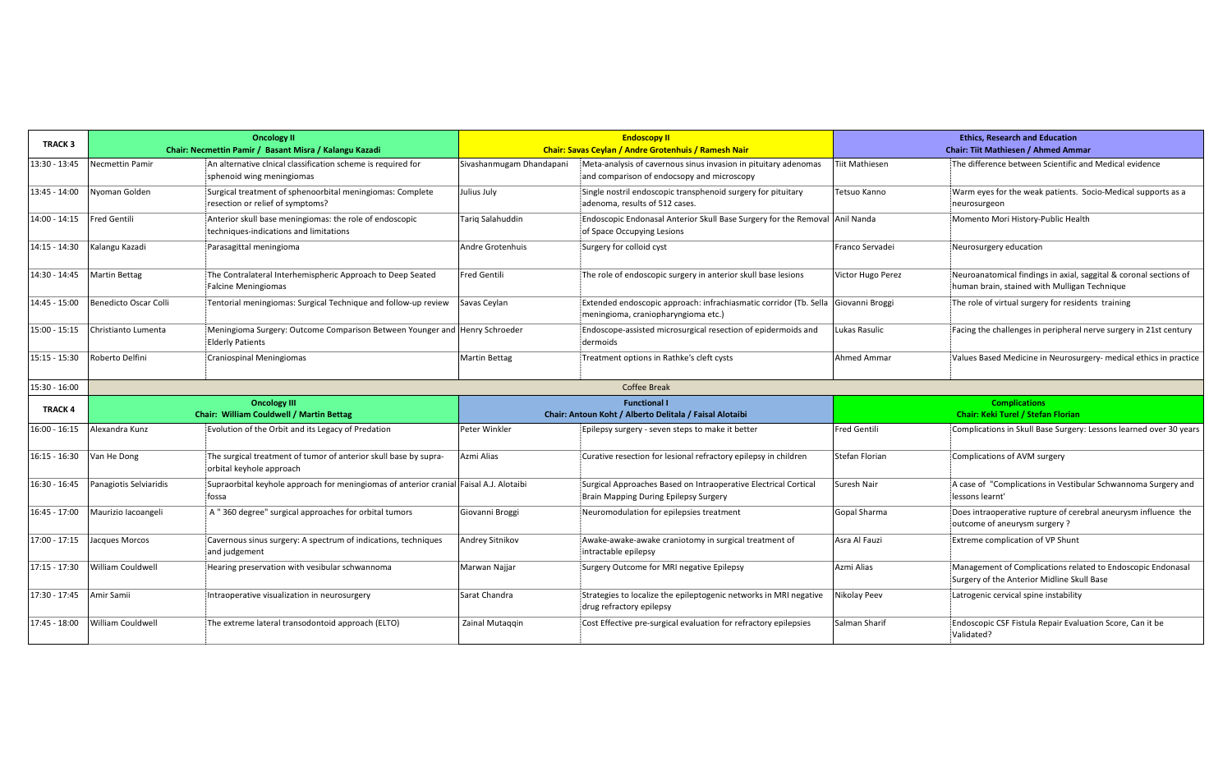| <b>TRACK 3</b>  | <b>Oncology II</b><br>Chair: Necmettin Pamir / Basant Misra / Kalangu Kazadi |                                                                                                       |                          | <b>Endoscopy II</b><br><b>Chair: Savas Ceylan / Andre Grotenhuis / Ramesh Nair</b>                                       | <b>Ethics, Research and Education</b><br><b>Chair: Tiit Mathiesen / Ahmed Ammar</b> |                                                                                                                   |  |
|-----------------|------------------------------------------------------------------------------|-------------------------------------------------------------------------------------------------------|--------------------------|--------------------------------------------------------------------------------------------------------------------------|-------------------------------------------------------------------------------------|-------------------------------------------------------------------------------------------------------------------|--|
|                 |                                                                              |                                                                                                       |                          |                                                                                                                          |                                                                                     |                                                                                                                   |  |
| 13:30 - 13:45   | Necmettin Pamir                                                              | An alternative clnical classification scheme is required for<br>sphenoid wing meningiomas             | Sivashanmugam Dhandapani | Meta-analysis of cavernous sinus invasion in pituitary adenomas<br>and comparison of endocsopy and microscopy            | Tiit Mathiesen                                                                      | The difference between Scientific and Medical evidence                                                            |  |
| 13:45 - 14:00   | Nyoman Golden                                                                | Surgical treatment of sphenoorbital meningiomas: Complete<br>resection or relief of symptoms?         | Julius July              | Single nostril endoscopic transphenoid surgery for pituitary<br>adenoma, results of 512 cases.                           | Tetsuo Kanno                                                                        | Warm eyes for the weak patients. Socio-Medical supports as a<br>neurosurgeon                                      |  |
| $14:00 - 14:15$ | Fred Gentili                                                                 | Anterior skull base meningiomas: the role of endoscopic<br>techniques-indications and limitations     | Tariq Salahuddin         | Endoscopic Endonasal Anterior Skull Base Surgery for the Removal Anil Nanda<br>of Space Occupying Lesions                |                                                                                     | Momento Mori History-Public Health                                                                                |  |
| $14:15 - 14:30$ | Kalangu Kazadi                                                               | Parasagittal meningioma                                                                               | Andre Grotenhuis         | Surgery for colloid cyst                                                                                                 | Franco Servadei                                                                     | Neurosurgery education                                                                                            |  |
| 14:30 - 14:45   | <b>Martin Bettag</b>                                                         | The Contralateral Interhemispheric Approach to Deep Seated<br><b>Falcine Meningiomas</b>              | <b>Fred Gentili</b>      | The role of endoscopic surgery in anterior skull base lesions                                                            | Victor Hugo Perez                                                                   | Neuroanatomical findings in axial, saggital & coronal sections of<br>human brain, stained with Mulligan Technique |  |
| 14:45 - 15:00   | <b>Benedicto Oscar Colli</b>                                                 | Tentorial meningiomas: Surgical Technique and follow-up review                                        | Savas Ceylan             | Extended endoscopic approach: infrachiasmatic corridor (Tb. Sella Giovanni Broggi<br>meningioma, craniopharyngioma etc.) |                                                                                     | The role of virtual surgery for residents training                                                                |  |
| $15:00 - 15:15$ | Christianto Lumenta                                                          | Meningioma Surgery: Outcome Comparison Between Younger and Henry Schroeder<br><b>Elderly Patients</b> |                          | Endoscope-assisted microsurgical resection of epidermoids and<br>dermoids                                                | Lukas Rasulic                                                                       | Facing the challenges in peripheral nerve surgery in 21st century                                                 |  |
| $15:15 - 15:30$ | Roberto Delfini                                                              | Craniospinal Meningiomas                                                                              | <b>Martin Bettag</b>     | Treatment options in Rathke's cleft cysts                                                                                | <b>Ahmed Ammar</b>                                                                  | Values Based Medicine in Neurosurgery- medical ethics in practice                                                 |  |
| 15:30 - 16:00   |                                                                              |                                                                                                       |                          | <b>Coffee Break</b>                                                                                                      |                                                                                     |                                                                                                                   |  |
| <b>TRACK 4</b>  | <b>Oncology III</b><br><b>Chair: William Couldwell / Martin Bettag</b>       |                                                                                                       |                          | <b>Functional I</b>                                                                                                      | <b>Complications</b>                                                                |                                                                                                                   |  |
|                 |                                                                              |                                                                                                       |                          | Chair: Antoun Koht / Alberto Delitala / Faisal Alotaibi                                                                  | <b>Chair: Keki Turel / Stefan Florian</b>                                           |                                                                                                                   |  |
| $16:00 - 16:15$ | Alexandra Kunz                                                               | Evolution of the Orbit and its Legacy of Predation                                                    | Peter Winkler            | Epilepsy surgery - seven steps to make it better                                                                         | <b>Fred Gentili</b>                                                                 | Complications in Skull Base Surgery: Lessons learned over 30 years                                                |  |
| $16:15 - 16:30$ | Van He Dong                                                                  | The surgical treatment of tumor of anterior skull base by supra-<br>orbital keyhole approach          | Azmi Alias               | Curative resection for lesional refractory epilepsy in children                                                          | <b>Stefan Florian</b>                                                               | Complications of AVM surgery                                                                                      |  |
| 16:30 - 16:45   | Panagiotis Selviaridis                                                       | Supraorbital keyhole approach for meningiomas of anterior cranial Faisal A.J. Alotaibi<br>fossa       |                          | Surgical Approaches Based on Intraoperative Electrical Cortical<br><b>Brain Mapping During Epilepsy Surgery</b>          | Suresh Nair                                                                         | A case of "Complications in Vestibular Schwannoma Surgery and<br>lessons learnt'                                  |  |
| $16:45 - 17:00$ | Maurizio lacoangeli                                                          | A "360 degree" surgical approaches for orbital tumors                                                 | Giovanni Broggi          | Neuromodulation for epilepsies treatment                                                                                 | <b>Gopal Sharma</b>                                                                 | Does intraoperative rupture of cerebral aneurysm influence the<br>outcome of aneurysm surgery?                    |  |
| 17:00 - 17:15   | Jacques Morcos                                                               | Cavernous sinus surgery: A spectrum of indications, techniques<br>and judgement                       | Andrey Sitnikov          | Awake-awake-awake craniotomy in surgical treatment of<br>intractable epilepsy                                            | Asra Al Fauzi                                                                       | <b>Extreme complication of VP Shunt</b>                                                                           |  |
| $17:15 - 17:30$ | William Couldwell                                                            | Hearing preservation with vesibular schwannoma                                                        | Marwan Najjar            | Surgery Outcome for MRI negative Epilepsy                                                                                | Azmi Alias                                                                          | Management of Complications related to Endoscopic Endonasal<br>Surgery of the Anterior Midline Skull Base         |  |
| 17:30 - 17:45   | Amir Samii                                                                   | Intraoperative visualization in neurosurgery                                                          | Sarat Chandra            | Strategies to localize the epileptogenic networks in MRI negative<br>drug refractory epilepsy                            | Nikolay Peev                                                                        | Latrogenic cervical spine instability                                                                             |  |
| 17:45 - 18:00   | William Couldwell                                                            | The extreme lateral transodontoid approach (ELTO)                                                     | Zainal Mutaqqin          | Cost Effective pre-surgical evaluation for refractory epilepsies                                                         | Salman Sharif                                                                       | Endoscopic CSF Fistula Repair Evaluation Score, Can it be<br>Validated?                                           |  |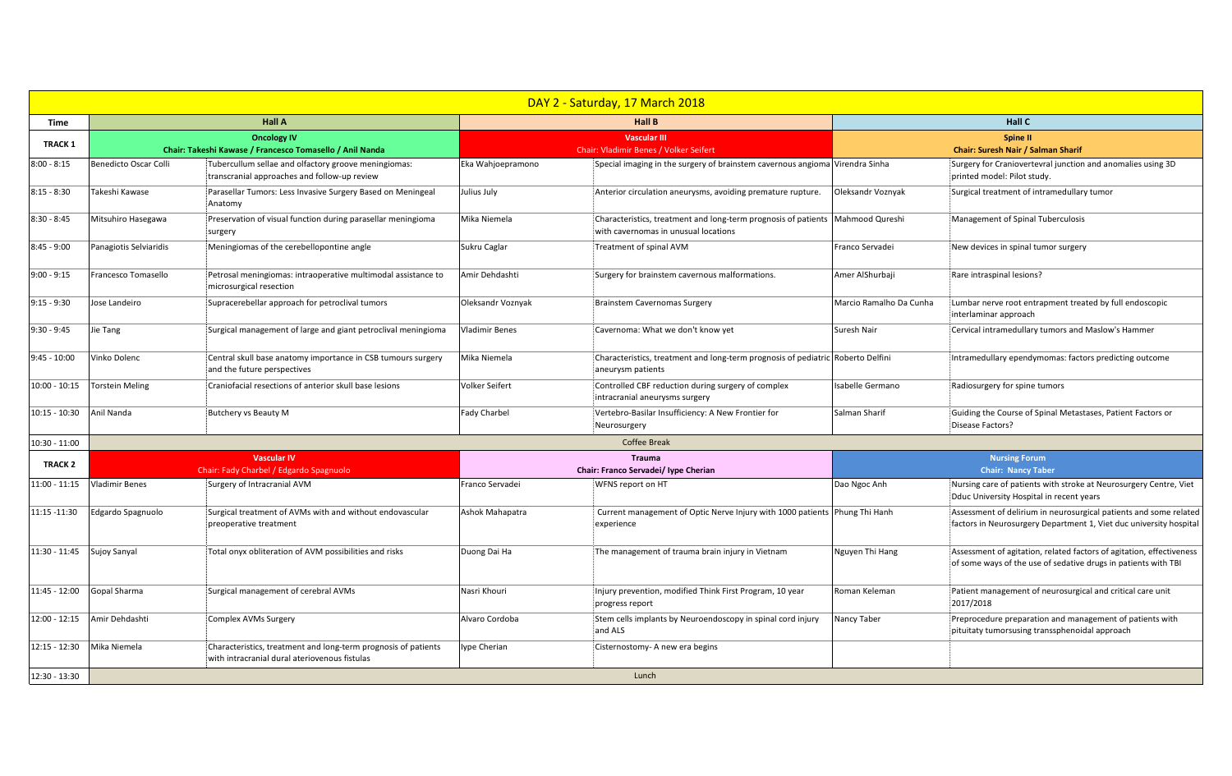| DAY 2 - Saturday, 17 March 2018 |                                |                                                                                                                 |                                                       |                                                                                                                          |                                                              |                                                                                                                                         |  |
|---------------------------------|--------------------------------|-----------------------------------------------------------------------------------------------------------------|-------------------------------------------------------|--------------------------------------------------------------------------------------------------------------------------|--------------------------------------------------------------|-----------------------------------------------------------------------------------------------------------------------------------------|--|
| <b>Time</b>                     | <b>Hall A</b>                  |                                                                                                                 |                                                       | <b>Hall B</b>                                                                                                            | <b>Hall C</b>                                                |                                                                                                                                         |  |
| <b>TRACK 1</b>                  |                                | <b>Oncology IV</b><br>Chair: Takeshi Kawase / Francesco Tomasello / Anil Nanda                                  |                                                       | <b>Vascular III</b><br><b>Chair: Vladimir Benes / Volker Seifert</b>                                                     | <b>Spine II</b><br><b>Chair: Suresh Nair / Salman Sharif</b> |                                                                                                                                         |  |
| $8:00 - 8:15$                   | Benedicto Oscar Colli          | Tubercullum sellae and olfactory groove meningiomas:<br>transcranial approaches and follow-up review            | Eka Wahjoepramono                                     | Special imaging in the surgery of brainstem cavernous angioma Virendra Sinha                                             |                                                              | Surgery for Craniovertevral junction and anomalies using 3D<br>printed model: Pilot study.                                              |  |
| $8:15 - 8:30$                   | Takeshi Kawase                 | Parasellar Tumors: Less Invasive Surgery Based on Meningeal<br>Anatomy                                          | Julius July                                           | Anterior circulation aneurysms, avoiding premature rupture.                                                              | Oleksandr Voznyak                                            | Surgical treatment of intramedullary tumor                                                                                              |  |
| $8:30 - 8:45$                   | Mitsuhiro Hasegawa             | Preservation of visual function during parasellar meningioma<br>surgery                                         | Mika Niemela                                          | Characteristics, treatment and long-term prognosis of patients   Mahmood Qureshi<br>with cavernomas in unusual locations |                                                              | Management of Spinal Tuberculosis                                                                                                       |  |
| $8:45 - 9:00$                   | Panagiotis Selviaridis         | Meningiomas of the cerebellopontine angle                                                                       | Sukru Caglar                                          | Treatment of spinal AVM                                                                                                  | Franco Servadei                                              | New devices in spinal tumor surgery                                                                                                     |  |
| $9:00 - 9:15$                   | Francesco Tomasello            | Petrosal meningiomas: intraoperative multimodal assistance to<br>microsurgical resection                        | Amir Dehdashti                                        | Surgery for brainstem cavernous malformations.                                                                           | Amer AlShurbaji                                              | Rare intraspinal lesions?                                                                                                               |  |
| $9:15 - 9:30$                   | Jose Landeiro                  | Supracerebellar approach for petroclival tumors                                                                 | Oleksandr Voznyak                                     | Brainstem Cavernomas Surgery                                                                                             | Marcio Ramalho Da Cunha                                      | Lumbar nerve root entrapment treated by full endoscopic<br>interlaminar approach                                                        |  |
| $9:30 - 9:45$                   | Jie Tang                       | Surgical management of large and giant petroclival meningioma                                                   | <b>Vladimir Benes</b>                                 | Cavernoma: What we don't know yet                                                                                        | Suresh Nair                                                  | Cervical intramedullary tumors and Maslow's Hammer                                                                                      |  |
| $9:45 - 10:00$                  | Vinko Dolenc                   | Central skull base anatomy importance in CSB tumours surgery<br>and the future perspectives                     | Mika Niemela                                          | Characteristics, treatment and long-term prognosis of pediatric Roberto Delfini<br>aneurysm patients                     |                                                              | Intramedullary ependymomas: factors predicting outcome                                                                                  |  |
| $10:00 - 10:15$                 | <b>Torstein Meling</b>         | Craniofacial resections of anterior skull base lesions                                                          | <b>Volker Seifert</b>                                 | Controlled CBF reduction during surgery of complex<br>intracranial aneurysms surgery                                     | Isabelle Germano                                             | Radiosurgery for spine tumors                                                                                                           |  |
| $10:15 - 10:30$                 | Anil Nanda                     | Butchery vs Beauty M                                                                                            | <b>Fady Charbel</b>                                   | Vertebro-Basilar Insufficiency: A New Frontier for<br>Neurosurgery                                                       | Salman Sharif                                                | Guiding the Course of Spinal Metastases, Patient Factors or<br>Disease Factors?                                                         |  |
| $10:30 - 11:00$                 |                                |                                                                                                                 |                                                       | <b>Coffee Break</b>                                                                                                      |                                                              |                                                                                                                                         |  |
| <b>TRACK 2</b>                  |                                | Vascular IV<br>Chair: Fady Charbel / Edgardo Spagnuolo                                                          | <b>Trauma</b><br>Chair: Franco Servadei/ Iype Cherian |                                                                                                                          | <b>Nursing Forum</b><br><b>Chair: Nancy Taber</b>            |                                                                                                                                         |  |
|                                 | 11:00 - 11:15   Vladimir Benes | Surgery of Intracranial AVM                                                                                     | Franco Servadei                                       | WFNS report on HT                                                                                                        | Dao Ngoc Anh                                                 | Nursing care of patients with stroke at Neurosurgery Centre, Viet<br>Dduc University Hospital in recent years                           |  |
| 11:15 -11:30                    | Edgardo Spagnuolo              | Surgical treatment of AVMs with and without endovascular<br>preoperative treatment                              | Ashok Mahapatra                                       | Current management of Optic Nerve Injury with 1000 patients Phung Thi Hanh<br>experience                                 |                                                              | Assessment of delirium in neurosurgical patients and some related<br>factors in Neurosurgery Department 1, Viet duc university hospital |  |
| 11:30 - 11:45 Sujoy Sanyal      |                                | Total onyx obliteration of AVM possibilities and risks                                                          | Duong Dai Ha                                          | The management of trauma brain injury in Vietnam                                                                         | Nguyen Thi Hang                                              | Assessment of agitation, related factors of agitation, effectiveness<br>of some ways of the use of sedative drugs in patients with TBI  |  |
| 11:45 - 12:00                   | Gopal Sharma                   | Surgical management of cerebral AVMs                                                                            | Nasri Khouri                                          | Injury prevention, modified Think First Program, 10 year<br>progress report                                              | Roman Keleman                                                | Patient management of neurosurgical and critical care unit<br>2017/2018                                                                 |  |
| $12:00 - 12:15$                 | Amir Dehdashti                 | <b>Complex AVMs Surgery</b>                                                                                     | Alvaro Cordoba                                        | Stem cells implants by Neuroendoscopy in spinal cord injury<br>and ALS                                                   | Nancy Taber                                                  | Preprocedure preparation and management of patients with<br>pituitaty tumorsusing transsphenoidal approach                              |  |
| $12:15 - 12:30$                 | Mika Niemela                   | Characteristics, treatment and long-term prognosis of patients<br>with intracranial dural ateriovenous fistulas | lype Cherian                                          | Cisternostomy- A new era begins                                                                                          |                                                              |                                                                                                                                         |  |
| 12:30 - 13:30                   | Lunch                          |                                                                                                                 |                                                       |                                                                                                                          |                                                              |                                                                                                                                         |  |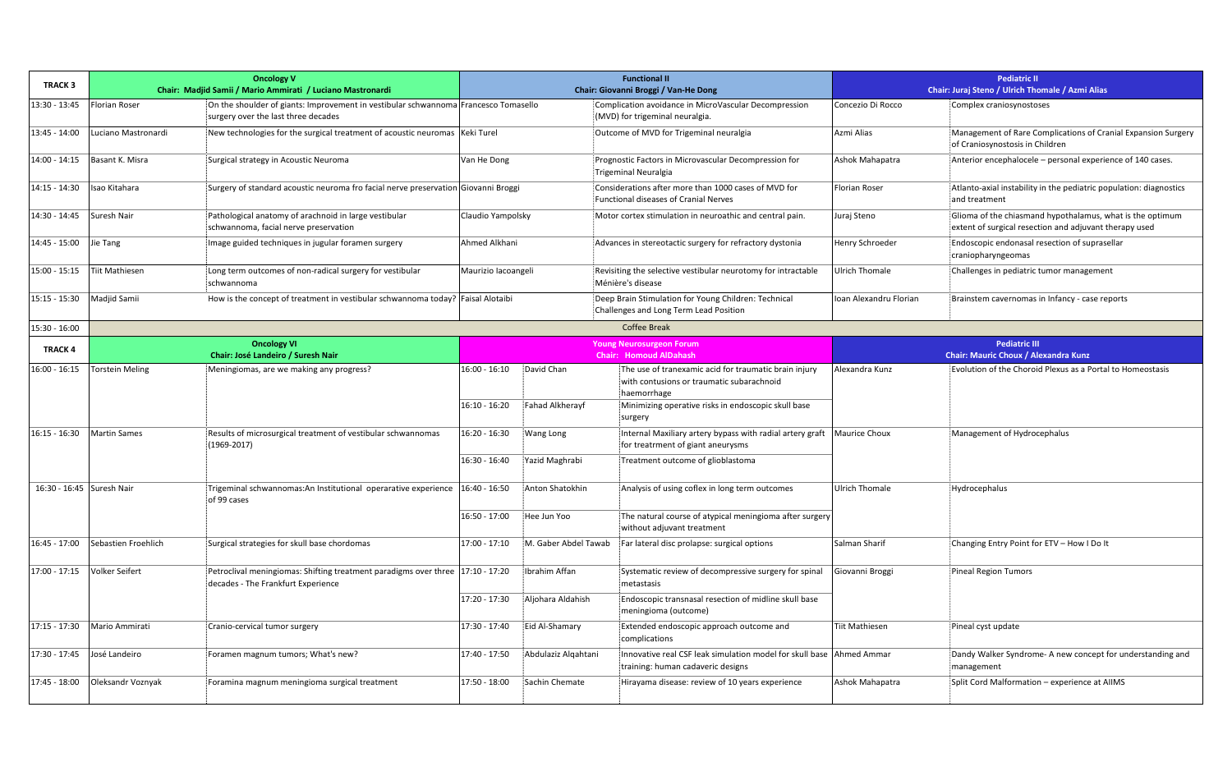| <b>TRACK 3</b>               |                        | <b>Oncology V</b><br>Chair: Madjid Samii / Mario Ammirati / Luciano Mastronardi                                            | <b>Functional II</b><br>Chair: Giovanni Broggi / Van-He Dong |                                                                                                           | <b>Pediatric II</b><br>Chair: Juraj Steno / Ulrich Thomale / Azmi Alias                                                                                                  |                                             |                                                                                                                     |
|------------------------------|------------------------|----------------------------------------------------------------------------------------------------------------------------|--------------------------------------------------------------|-----------------------------------------------------------------------------------------------------------|--------------------------------------------------------------------------------------------------------------------------------------------------------------------------|---------------------------------------------|---------------------------------------------------------------------------------------------------------------------|
|                              |                        |                                                                                                                            |                                                              |                                                                                                           |                                                                                                                                                                          |                                             |                                                                                                                     |
| 13:30 - 13:45                | <b>Florian Roser</b>   | On the shoulder of giants: Improvement in vestibular schwannoma Francesco Tomasello<br>surgery over the last three decades |                                                              |                                                                                                           | Complication avoidance in MicroVascular Decompression<br>(MVD) for trigeminal neuralgia.                                                                                 | Concezio Di Rocco                           | Complex craniosynostoses                                                                                            |
| 13:45 - 14:00                | Luciano Mastronardi    | New technologies for the surgical treatment of acoustic neuromas  Keki Turel                                               |                                                              |                                                                                                           | Outcome of MVD for Trigeminal neuralgia                                                                                                                                  | Azmi Alias                                  | Management of Rare Complications of Cranial Expansion Surgery<br>of Craniosynostosis in Children                    |
| $14:00 - 14:15$              | Basant K. Misra        | Surgical strategy in Acoustic Neuroma                                                                                      | Van He Dong                                                  |                                                                                                           | Prognostic Factors in Microvascular Decompression for<br>Trigeminal Neuralgia                                                                                            | Ashok Mahapatra                             | Anterior encephalocele - personal experience of 140 cases.                                                          |
| $14:15 - 14:30$              | Isao Kitahara          | Surgery of standard acoustic neuroma fro facial nerve preservation Giovanni Broggi                                         |                                                              |                                                                                                           | Considerations after more than 1000 cases of MVD for<br><b>Functional diseases of Cranial Nerves</b>                                                                     | <b>Florian Roser</b>                        | Atlanto-axial instability in the pediatric population: diagnostics<br>and treatment                                 |
| $14:30 - 14:45$              | Suresh Nair            | Pathological anatomy of arachnoid in large vestibular<br>schwannoma, facial nerve preservation                             | Claudio Yampolsky                                            |                                                                                                           | Motor cortex stimulation in neuroathic and central pain.                                                                                                                 | Juraj Steno                                 | Glioma of the chiasmand hypothalamus, what is the optimum<br>extent of surgical resection and adjuvant therapy used |
| 14:45 - 15:00                | Jie Tang               | Image guided techniques in jugular foramen surgery                                                                         | Ahmed Alkhani                                                | Advances in stereotactic surgery for refractory dystonia                                                  |                                                                                                                                                                          | Henry Schroeder                             | Endoscopic endonasal resection of suprasellar<br>craniopharyngeomas                                                 |
| 15:00 - 15:15                | <b>Tiit Mathiesen</b>  | Long term outcomes of non-radical surgery for vestibular<br>schwannoma                                                     |                                                              | Revisiting the selective vestibular neurotomy for intractable<br>Maurizio lacoangeli<br>Ménière's disease |                                                                                                                                                                          | <b>Ulrich Thomale</b>                       | Challenges in pediatric tumor management                                                                            |
| $15:15 - 15:30$              | Madjid Samii           | How is the concept of treatment in vestibular schwannoma today?   Faisal Alotaibi                                          |                                                              | Deep Brain Stimulation for Young Children: Technical<br>Challenges and Long Term Lead Position            |                                                                                                                                                                          | Ioan Alexandru Florian                      | Brainstem cavernomas in Infancy - case reports                                                                      |
| 15:30 - 16:00                |                        |                                                                                                                            |                                                              |                                                                                                           | <b>Coffee Break</b>                                                                                                                                                      |                                             |                                                                                                                     |
|                              |                        | <b>Oncology VI</b>                                                                                                         |                                                              |                                                                                                           | <b>Young Neurosurgeon Forum</b>                                                                                                                                          |                                             | <b>Pediatric III</b>                                                                                                |
| <b>TRACK 4</b>               |                        | <b>Chair: José Landeiro / Suresh Nair</b>                                                                                  |                                                              | <b>Chair: Homoud AlDahash</b>                                                                             |                                                                                                                                                                          | <b>Chair: Mauric Choux / Alexandra Kunz</b> |                                                                                                                     |
| 16:00 - 16:15                | <b>Torstein Meling</b> | Meningiomas, are we making any progress?                                                                                   | $16:00 - 16:10$<br>$16:10 - 16:20$                           | David Chan<br>Fahad Alkherayf                                                                             | The use of tranexamic acid for traumatic brain injury<br>with contusions or traumatic subarachnoid<br>haemorrhage<br>Minimizing operative risks in endoscopic skull base | Alexandra Kunz                              | Evolution of the Choroid Plexus as a Portal to Homeostasis                                                          |
|                              |                        |                                                                                                                            |                                                              |                                                                                                           | surgery                                                                                                                                                                  |                                             |                                                                                                                     |
| 16:15 - 16:30   Martin Sames |                        | Results of microsurgical treatment of vestibular schwannomas<br>$(1969 - 2017)$                                            | $16:20 - 16:30$                                              | <b>Wang Long</b>                                                                                          | Internal Maxiliary artery bypass with radial artery graft   Maurice Choux<br>for treatrment of giant aneurysms                                                           |                                             | Management of Hydrocephalus                                                                                         |
|                              |                        |                                                                                                                            | 16:30 - 16:40                                                | Yazid Maghrabi                                                                                            | Treatment outcome of glioblastoma                                                                                                                                        |                                             |                                                                                                                     |
| 16:30 - 16:45 Suresh Nair    |                        | Trigeminal schwannomas: An Institutional operarative experience $16:40 - 16:50$<br>of 99 cases                             |                                                              | Anton Shatokhin                                                                                           | Analysis of using coflex in long term outcomes                                                                                                                           | <b>Ulrich Thomale</b>                       | Hydrocephalus                                                                                                       |
|                              |                        |                                                                                                                            | $16:50 - 17:00$                                              | Hee Jun Yoo                                                                                               | The natural course of atypical meningioma after surgery<br>without adjuvant treatment                                                                                    |                                             |                                                                                                                     |
| $16:45 - 17:00$              | Sebastien Froehlich    | Surgical strategies for skull base chordomas                                                                               | $17:00 - 17:10$                                              | M. Gaber Abdel Tawab                                                                                      | Far lateral disc prolapse: surgical options                                                                                                                              | Salman Sharif                               | Changing Entry Point for ETV - How I Do It                                                                          |
| $17:00 - 17:15$              | <b>Volker Seifert</b>  | Petroclival meningiomas: Shifting treatment paradigms over three   17:10 - 17:20<br>decades - The Frankfurt Experience     |                                                              | Ibrahim Affan                                                                                             | Systematic review of decompressive surgery for spinal<br>metastasis                                                                                                      | Giovanni Broggi                             | Pineal Region Tumors                                                                                                |
|                              |                        |                                                                                                                            | 17:20 - 17:30                                                | Aljohara Aldahish                                                                                         | Endoscopic transnasal resection of midline skull base<br>meningioma (outcome)                                                                                            |                                             |                                                                                                                     |
| $17:15 - 17:30$              | Mario Ammirati         | Cranio-cervical tumor surgery                                                                                              | 17:30 - 17:40                                                | Eid Al-Shamary                                                                                            | Extended endoscopic approach outcome and<br>complications                                                                                                                | <b>Tiit Mathiesen</b>                       | Pineal cyst update                                                                                                  |
| $17:30 - 17:45$              | José Landeiro          | Foramen magnum tumors; What's new?                                                                                         | 17:40 - 17:50                                                | Abdulaziz Algahtani                                                                                       | Innovative real CSF leak simulation model for skull base Ahmed Ammar<br>training: human cadaveric designs                                                                |                                             | Dandy Walker Syndrome- A new concept for understanding and<br>management                                            |
| 17:45 - 18:00                | Oleksandr Voznyak      | Foramina magnum meningioma surgical treatment                                                                              | $17:50 - 18:00$                                              | Sachin Chemate                                                                                            | Hirayama disease: review of 10 years experience                                                                                                                          | Ashok Mahapatra                             | Split Cord Malformation - experience at AIIMS                                                                       |